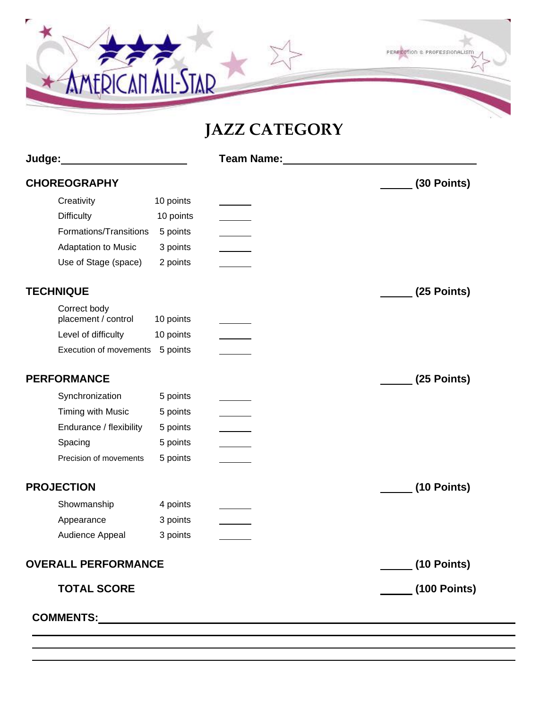

# **JAZZ CATEGORY**

| Judge: <b>Manual</b>                |           | Team Name: Name: Name of Team Name: Name of Team Name of Team Name of Team Name of Team Name of Team Name of Te |                           |
|-------------------------------------|-----------|-----------------------------------------------------------------------------------------------------------------|---------------------------|
| <b>CHOREOGRAPHY</b>                 |           |                                                                                                                 | (30 Points)               |
| Creativity                          | 10 points |                                                                                                                 |                           |
| <b>Difficulty</b>                   | 10 points |                                                                                                                 |                           |
| Formations/Transitions              | 5 points  |                                                                                                                 |                           |
| Adaptation to Music                 | 3 points  |                                                                                                                 |                           |
| Use of Stage (space)                | 2 points  |                                                                                                                 |                           |
| <b>TECHNIQUE</b>                    |           |                                                                                                                 | (25 Points)               |
| Correct body<br>placement / control | 10 points |                                                                                                                 |                           |
| Level of difficulty                 | 10 points |                                                                                                                 |                           |
| Execution of movements              | 5 points  |                                                                                                                 |                           |
| <b>PERFORMANCE</b>                  |           |                                                                                                                 | (25 Points)               |
| Synchronization                     | 5 points  |                                                                                                                 |                           |
| Timing with Music                   | 5 points  |                                                                                                                 |                           |
| Endurance / flexibility             | 5 points  |                                                                                                                 |                           |
| Spacing                             | 5 points  |                                                                                                                 |                           |
| Precision of movements              | 5 points  |                                                                                                                 |                           |
| <b>PROJECTION</b>                   |           |                                                                                                                 | (10 Points)               |
| Showmanship                         | 4 points  |                                                                                                                 |                           |
| Appearance                          | 3 points  |                                                                                                                 |                           |
| Audience Appeal                     | 3 points  |                                                                                                                 |                           |
| <b>OVERALL PERFORMANCE</b>          |           |                                                                                                                 | <u>______</u> (10 Points) |
| <b>TOTAL SCORE</b>                  |           |                                                                                                                 | (100 Points)              |
|                                     |           |                                                                                                                 |                           |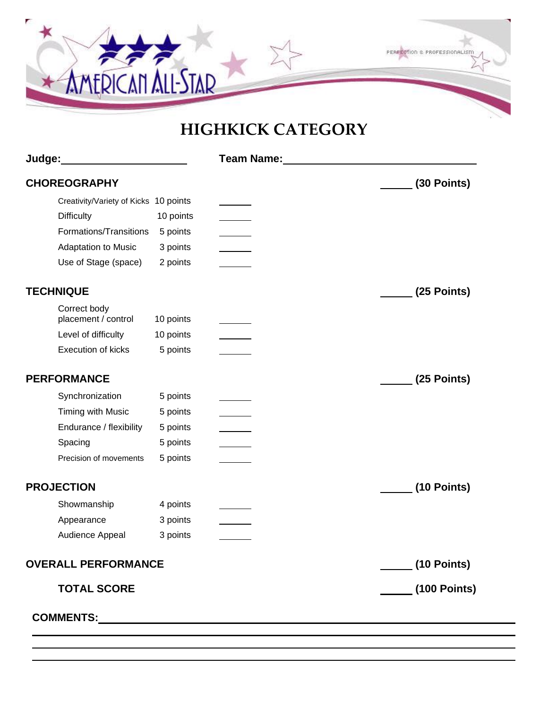

## **HIGHKICK CATEGORY**

| Judge:____________________            |           | Team Name: Name: Name and Second Second Second Second Second Second Second Second Second Second Second Second Second Second Second Second Second Second Second Second Second Second Second Second Second Second Second Second |              |
|---------------------------------------|-----------|-------------------------------------------------------------------------------------------------------------------------------------------------------------------------------------------------------------------------------|--------------|
| <b>CHOREOGRAPHY</b>                   |           |                                                                                                                                                                                                                               | (30 Points)  |
| Creativity/Variety of Kicks 10 points |           |                                                                                                                                                                                                                               |              |
| <b>Difficulty</b>                     | 10 points |                                                                                                                                                                                                                               |              |
| Formations/Transitions                | 5 points  |                                                                                                                                                                                                                               |              |
| Adaptation to Music                   | 3 points  |                                                                                                                                                                                                                               |              |
| Use of Stage (space)                  | 2 points  |                                                                                                                                                                                                                               |              |
| <b>TECHNIQUE</b>                      |           |                                                                                                                                                                                                                               | (25 Points)  |
| Correct body<br>placement / control   | 10 points |                                                                                                                                                                                                                               |              |
| Level of difficulty                   | 10 points |                                                                                                                                                                                                                               |              |
| Execution of kicks                    | 5 points  |                                                                                                                                                                                                                               |              |
| <b>PERFORMANCE</b>                    |           |                                                                                                                                                                                                                               | (25 Points)  |
| Synchronization                       | 5 points  |                                                                                                                                                                                                                               |              |
| Timing with Music                     | 5 points  |                                                                                                                                                                                                                               |              |
| Endurance / flexibility               | 5 points  |                                                                                                                                                                                                                               |              |
| Spacing                               | 5 points  |                                                                                                                                                                                                                               |              |
| Precision of movements                | 5 points  |                                                                                                                                                                                                                               |              |
| <b>PROJECTION</b>                     |           |                                                                                                                                                                                                                               | (10 Points)  |
| Showmanship                           | 4 points  |                                                                                                                                                                                                                               |              |
| Appearance                            | 3 points  |                                                                                                                                                                                                                               |              |
| Audience Appeal                       | 3 points  |                                                                                                                                                                                                                               |              |
| <b>OVERALL PERFORMANCE</b>            |           |                                                                                                                                                                                                                               | (10 Points)  |
| <b>TOTAL SCORE</b>                    |           |                                                                                                                                                                                                                               | (100 Points) |
|                                       |           |                                                                                                                                                                                                                               |              |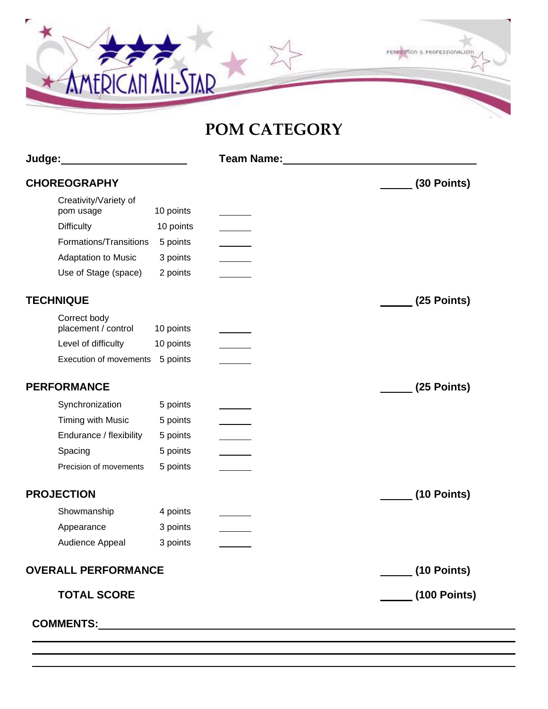

#### **POM CATEGORY**

| Judge: <b>Manual Commission</b>     |           | <b>Team Name:</b> The Second Second Second Second Second Second Second Second Second Second Second Second Second Second Second Second Second Second Second Second Second Second Second Second Second Second Second Second Second Se |                     |
|-------------------------------------|-----------|-------------------------------------------------------------------------------------------------------------------------------------------------------------------------------------------------------------------------------------|---------------------|
| <b>CHOREOGRAPHY</b>                 |           |                                                                                                                                                                                                                                     | (30 Points)         |
| Creativity/Variety of<br>pom usage  | 10 points |                                                                                                                                                                                                                                     |                     |
| <b>Difficulty</b>                   | 10 points |                                                                                                                                                                                                                                     |                     |
| Formations/Transitions              | 5 points  |                                                                                                                                                                                                                                     |                     |
| Adaptation to Music                 | 3 points  |                                                                                                                                                                                                                                     |                     |
| Use of Stage (space)                | 2 points  |                                                                                                                                                                                                                                     |                     |
| <b>TECHNIQUE</b>                    |           |                                                                                                                                                                                                                                     | (25 Points)         |
| Correct body<br>placement / control | 10 points |                                                                                                                                                                                                                                     |                     |
| Level of difficulty                 | 10 points |                                                                                                                                                                                                                                     |                     |
| Execution of movements              | 5 points  |                                                                                                                                                                                                                                     |                     |
| <b>PERFORMANCE</b>                  |           |                                                                                                                                                                                                                                     | (25 Points)         |
| Synchronization                     | 5 points  |                                                                                                                                                                                                                                     |                     |
| Timing with Music                   | 5 points  |                                                                                                                                                                                                                                     |                     |
| Endurance / flexibility             | 5 points  |                                                                                                                                                                                                                                     |                     |
| Spacing                             | 5 points  |                                                                                                                                                                                                                                     |                     |
| Precision of movements              | 5 points  |                                                                                                                                                                                                                                     |                     |
| <b>PROJECTION</b>                   |           |                                                                                                                                                                                                                                     | (10 Points)         |
| Showmanship                         | 4 points  |                                                                                                                                                                                                                                     |                     |
| Appearance                          | 3 points  |                                                                                                                                                                                                                                     |                     |
| Audience Appeal                     | 3 points  |                                                                                                                                                                                                                                     |                     |
| <b>OVERALL PERFORMANCE</b>          |           | <u>_______</u> (10 Points)                                                                                                                                                                                                          |                     |
| <b>TOTAL SCORE</b>                  |           |                                                                                                                                                                                                                                     | <b>(100 Points)</b> |
|                                     |           |                                                                                                                                                                                                                                     |                     |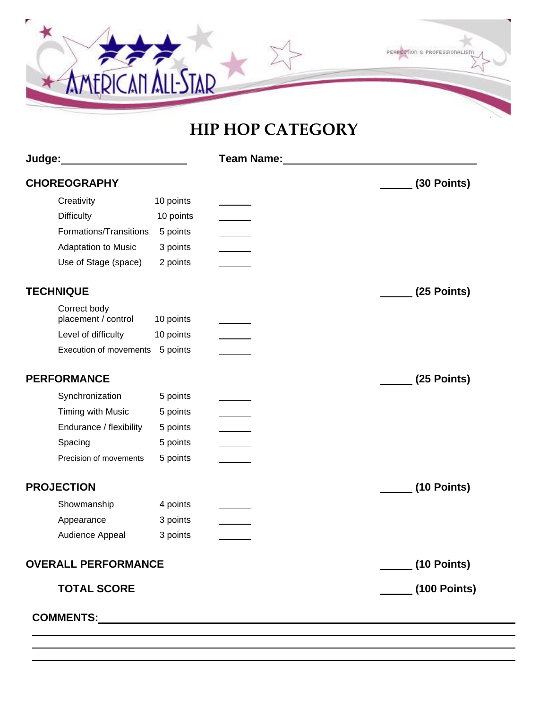

#### **HIP HOP CATEGORY**

| (30 Points)  |
|--------------|
|              |
|              |
|              |
|              |
|              |
| (25 Points)  |
|              |
|              |
|              |
| (25 Points)  |
|              |
|              |
|              |
|              |
|              |
| (10 Points)  |
|              |
|              |
|              |
| (10 Points)  |
| (100 Points) |
|              |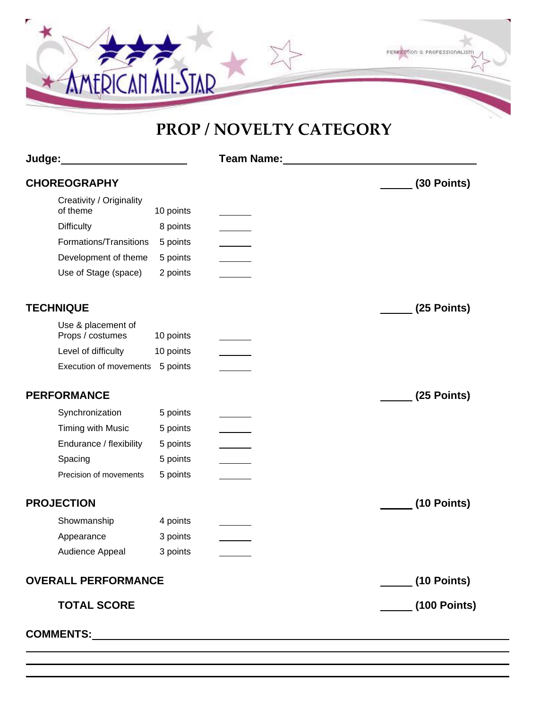

#### **PROP / NOVELTY CATEGORY**

| Judge:_________________                |           | Team Name: Value of the Team Name: |               |
|----------------------------------------|-----------|------------------------------------|---------------|
| <b>CHOREOGRAPHY</b>                    |           |                                    | (30 Points)   |
| Creativity / Originality<br>of theme   | 10 points |                                    |               |
| <b>Difficulty</b>                      | 8 points  |                                    |               |
| Formations/Transitions                 | 5 points  |                                    |               |
| Development of theme                   | 5 points  |                                    |               |
| Use of Stage (space)                   | 2 points  |                                    |               |
| <b>TECHNIQUE</b>                       |           |                                    | (25 Points)   |
| Use & placement of<br>Props / costumes | 10 points |                                    |               |
| Level of difficulty                    | 10 points |                                    |               |
| Execution of movements 5 points        |           |                                    |               |
| <b>PERFORMANCE</b>                     |           |                                    | (25 Points)   |
| Synchronization                        | 5 points  |                                    |               |
| Timing with Music                      | 5 points  |                                    |               |
| Endurance / flexibility                | 5 points  |                                    |               |
| Spacing                                | 5 points  |                                    |               |
| Precision of movements                 | 5 points  |                                    |               |
| <b>PROJECTION</b>                      |           |                                    | $(10$ Points) |
| Showmanship                            | 4 points  |                                    |               |
| Appearance                             | 3 points  |                                    |               |
| Audience Appeal 3 points               |           |                                    |               |
| <b>OVERALL PERFORMANCE</b>             |           |                                    | (10 Points)   |
| <b>TOTAL SCORE</b>                     |           |                                    | (100 Points)  |
|                                        |           |                                    |               |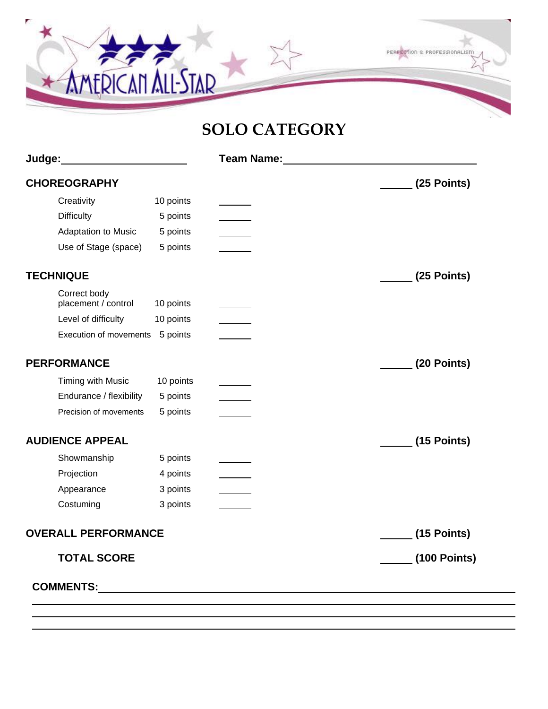

### **SOLO CATEGORY**

|                                     |           | Team Name: Name: Name of Team Name of Team Name of Team Name of Team Name of Team Name of Team Name of Team Na |                     |
|-------------------------------------|-----------|----------------------------------------------------------------------------------------------------------------|---------------------|
| <b>CHOREOGRAPHY</b>                 |           |                                                                                                                | (25 Points)         |
| Creativity                          | 10 points |                                                                                                                |                     |
| <b>Difficulty</b>                   | 5 points  |                                                                                                                |                     |
| <b>Adaptation to Music</b>          | 5 points  |                                                                                                                |                     |
| Use of Stage (space)                | 5 points  |                                                                                                                |                     |
| <b>TECHNIQUE</b>                    |           |                                                                                                                | (25 Points)         |
| Correct body<br>placement / control | 10 points |                                                                                                                |                     |
| Level of difficulty                 | 10 points |                                                                                                                |                     |
| Execution of movements              | 5 points  |                                                                                                                |                     |
| <b>PERFORMANCE</b>                  |           |                                                                                                                | (20 Points)         |
| Timing with Music                   | 10 points |                                                                                                                |                     |
| Endurance / flexibility             | 5 points  |                                                                                                                |                     |
| Precision of movements              | 5 points  |                                                                                                                |                     |
| <b>AUDIENCE APPEAL</b>              |           |                                                                                                                | (15 Points)         |
| Showmanship                         | 5 points  |                                                                                                                |                     |
| Projection                          | 4 points  |                                                                                                                |                     |
| Appearance                          | 3 points  |                                                                                                                |                     |
| Costuming                           | 3 points  |                                                                                                                |                     |
| <b>OVERALL PERFORMANCE</b>          |           |                                                                                                                | (15 Points)         |
| <b>TOTAL SCORE</b>                  |           |                                                                                                                | <b>(100 Points)</b> |
|                                     |           |                                                                                                                |                     |